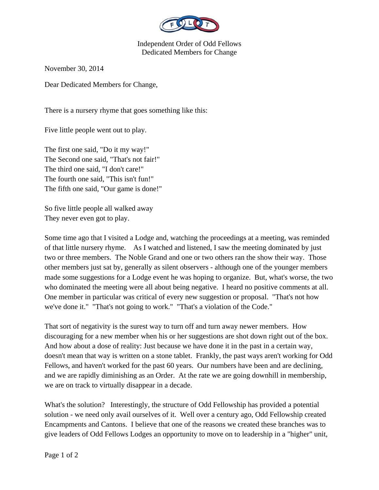

Independent Order of Odd Fellows Dedicated Members for Change

November 30, 2014

Dear Dedicated Members for Change,

There is a nursery rhyme that goes something like this:

Five little people went out to play.

The first one said, "Do it my way!" The Second one said, "That's not fair!" The third one said, "I don't care!" The fourth one said, "This isn't fun!" The fifth one said, "Our game is done!"

So five little people all walked away They never even got to play.

Some time ago that I visited a Lodge and, watching the proceedings at a meeting, was reminded of that little nursery rhyme. As I watched and listened, I saw the meeting dominated by just two or three members. The Noble Grand and one or two others ran the show their way. Those other members just sat by, generally as silent observers - although one of the younger members made some suggestions for a Lodge event he was hoping to organize. But, what's worse, the two who dominated the meeting were all about being negative. I heard no positive comments at all. One member in particular was critical of every new suggestion or proposal. "That's not how we've done it." "That's not going to work." "That's a violation of the Code."

That sort of negativity is the surest way to turn off and turn away newer members. How discouraging for a new member when his or her suggestions are shot down right out of the box. And how about a dose of reality: Just because we have done it in the past in a certain way, doesn't mean that way is written on a stone tablet. Frankly, the past ways aren't working for Odd Fellows, and haven't worked for the past 60 years. Our numbers have been and are declining, and we are rapidly diminishing as an Order. At the rate we are going downhill in membership, we are on track to virtually disappear in a decade.

What's the solution? Interestingly, the structure of Odd Fellowship has provided a potential solution - we need only avail ourselves of it. Well over a century ago, Odd Fellowship created Encampments and Cantons. I believe that one of the reasons we created these branches was to give leaders of Odd Fellows Lodges an opportunity to move on to leadership in a "higher" unit,